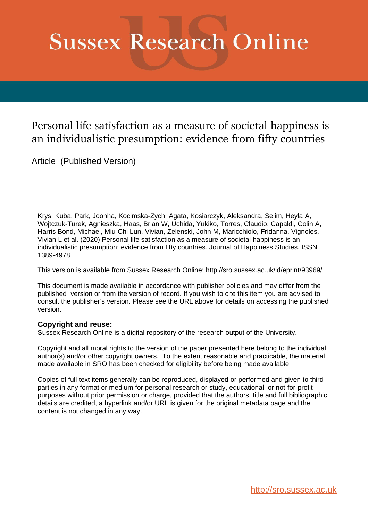# **Sussex Research Online**

# Personal life satisfaction as a measure of societal happiness is an individualistic presumption: evidence from fifty countries

Article (Published Version)

Krys, Kuba, Park, Joonha, Kocimska-Zych, Agata, Kosiarczyk, Aleksandra, Selim, Heyla A, Wojtczuk-Turek, Agnieszka, Haas, Brian W, Uchida, Yukiko, Torres, Claudio, Capaldi, Colin A, Harris Bond, Michael, Miu-Chi Lun, Vivian, Zelenski, John M, Maricchiolo, Fridanna, Vignoles, Vivian L et al. (2020) Personal life satisfaction as a measure of societal happiness is an individualistic presumption: evidence from fifty countries. Journal of Happiness Studies. ISSN 1389-4978

This version is available from Sussex Research Online: http://sro.sussex.ac.uk/id/eprint/93969/

This document is made available in accordance with publisher policies and may differ from the published version or from the version of record. If you wish to cite this item you are advised to consult the publisher's version. Please see the URL above for details on accessing the published version.

# **Copyright and reuse:**

Sussex Research Online is a digital repository of the research output of the University.

Copyright and all moral rights to the version of the paper presented here belong to the individual author(s) and/or other copyright owners. To the extent reasonable and practicable, the material made available in SRO has been checked for eligibility before being made available.

Copies of full text items generally can be reproduced, displayed or performed and given to third parties in any format or medium for personal research or study, educational, or not-for-profit purposes without prior permission or charge, provided that the authors, title and full bibliographic details are credited, a hyperlink and/or URL is given for the original metadata page and the content is not changed in any way.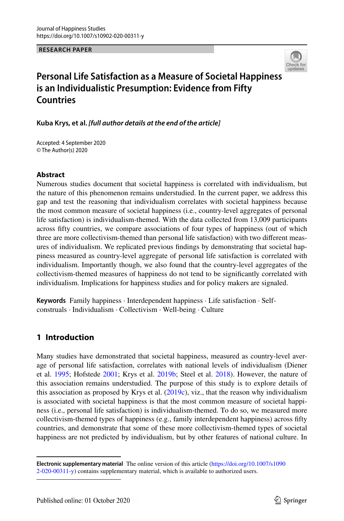**RESEARCH PAPER**



# **Personal Life Satisfaction as a Measure of Societal Happiness is an Individualistic Presumption: Evidence from Fifty Countries**

**Kuba Krys, et al.** *[full author details at the end of the article]*

Accepted: 4 September 2020 © The Author(s) 2020

#### **Abstract**

Numerous studies document that societal happiness is correlated with individualism, but the nature of this phenomenon remains understudied. In the current paper, we address this gap and test the reasoning that individualism correlates with societal happiness because the most common measure of societal happiness (i.e., country-level aggregates of personal life satisfaction) is individualism-themed. With the data collected from 13,009 participants across ffty countries, we compare associations of four types of happiness (out of which three are more collectivism-themed than personal life satisfaction) with two diferent measures of individualism. We replicated previous fndings by demonstrating that societal happiness measured as country-level aggregate of personal life satisfaction is correlated with individualism. Importantly though, we also found that the country-level aggregates of the collectivism-themed measures of happiness do not tend to be signifcantly correlated with individualism. Implications for happiness studies and for policy makers are signaled.

**Keywords** Family happiness · Interdependent happiness · Life satisfaction · Selfconstruals · Individualism · Collectivism · Well-being · Culture

# **1 Introduction**

Many studies have demonstrated that societal happiness, measured as country-level average of personal life satisfaction, correlates with national levels of individualism (Diener et al. [1995](#page-14-0); Hofstede [2001;](#page-15-0) Krys et al. [2019b;](#page-15-1) Steel et al. [2018](#page-16-0)). However, the nature of this association remains understudied. The purpose of this study is to explore details of this association as proposed by Krys et al.  $(2019c)$  $(2019c)$  $(2019c)$ , viz., that the reason why individualism is associated with societal happiness is that the most common measure of societal happiness (i.e., personal life satisfaction) is individualism-themed. To do so, we measured more collectivism-themed types of happiness (e.g., family interdependent happiness) across ffty countries, and demonstrate that some of these more collectivism-themed types of societal happiness are not predicted by individualism, but by other features of national culture. In

**Electronic supplementary material** The online version of this article [\(https://doi.org/10.1007/s1090](https://doi.org/10.1007/s10902-020-00311-y) [2-020-00311-y\)](https://doi.org/10.1007/s10902-020-00311-y) contains supplementary material, which is available to authorized users.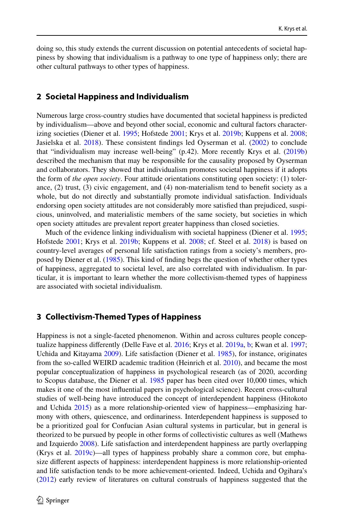doing so, this study extends the current discussion on potential antecedents of societal happiness by showing that individualism is a pathway to one type of happiness only; there are other cultural pathways to other types of happiness.

#### **2 Societal Happiness and Individualism**

Numerous large cross-country studies have documented that societal happiness is predicted by individualism—above and beyond other social, economic and cultural factors characterizing societies (Diener et al. [1995;](#page-14-0) Hofstede [2001;](#page-15-0) Krys et al. [2019b](#page-15-1); Kuppens et al. [2008](#page-15-3); Jasielska et al. [2018](#page-15-4)). These consistent fndings led Oyserman et al. ([2002\)](#page-15-5) to conclude that "individualism may increase well-being" (p.42). More recently Krys et al. ([2019b](#page-15-1)) described the mechanism that may be responsible for the causality proposed by Oyserman and collaborators. They showed that individualism promotes societal happiness if it adopts the form of *the open society*. Four attitude orientations constituting open society: (1) tolerance, (2) trust, (3) civic engagement, and (4) non-materialism tend to beneft society as a whole, but do not directly and substantially promote individual satisfaction. Individuals endorsing open society attitudes are not considerably more satisfed than prejudiced, suspicious, uninvolved, and materialistic members of the same society, but societies in which open society attitudes are prevalent report greater happiness than closed societies.

Much of the evidence linking individualism with societal happiness (Diener et al. [1995;](#page-14-0) Hofstede [2001;](#page-15-0) Krys et al. [2019b;](#page-15-1) Kuppens et al. [2008](#page-15-3); cf. Steel et al. [2018\)](#page-16-0) is based on country-level averages of personal life satisfaction ratings from a society's members, proposed by Diener et al. ([1985\)](#page-14-1). This kind of fnding begs the question of whether other types of happiness, aggregated to societal level, are also correlated with individualism. In particular, it is important to learn whether the more collectivism-themed types of happiness are associated with societal individualism.

#### **3 Collectivism‑Themed Types of Happiness**

Happiness is not a single-faceted phenomenon. Within and across cultures people conceptualize happiness diferently (Delle Fave et al. [2016;](#page-14-2) Krys et al. [2019a](#page-15-6), [b;](#page-15-1) Kwan et al. [1997;](#page-15-7) Uchida and Kitayama [2009\)](#page-16-1). Life satisfaction (Diener et al. [1985\)](#page-14-1), for instance, originates from the so-called WEIRD academic tradition (Heinrich et al. [2010](#page-14-3)), and became the most popular conceptualization of happiness in psychological research (as of 2020, according to Scopus database, the Diener et al. [1985](#page-14-1) paper has been cited over 10,000 times, which makes it one of the most infuential papers in psychological science). Recent cross-cultural studies of well-being have introduced the concept of interdependent happiness (Hitokoto and Uchida [2015\)](#page-15-8) as a more relationship-oriented view of happiness—emphasizing harmony with others, quiescence, and ordinariness. Interdependent happiness is supposed to be a prioritized goal for Confucian Asian cultural systems in particular, but in general is theorized to be pursued by people in other forms of collectivistic cultures as well (Mathews and Izquierdo [2008](#page-15-9)). Life satisfaction and interdependent happiness are partly overlapping (Krys et al.  $2019c$ )—all types of happiness probably share a common core, but emphasize diferent aspects of happiness: interdependent happiness is more relationship-oriented and life satisfaction tends to be more achievement-oriented. Indeed, Uchida and Ogihara's ([2012\)](#page-16-2) early review of literatures on cultural construals of happiness suggested that the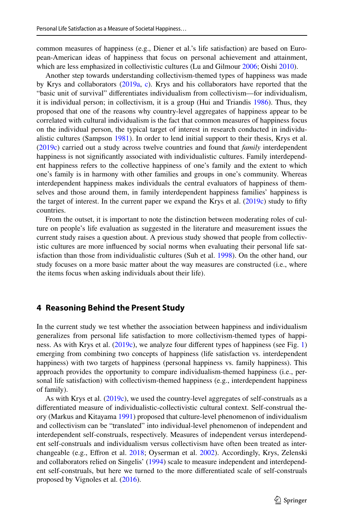common measures of happiness (e.g., Diener et al.'s life satisfaction) are based on European-American ideas of happiness that focus on personal achievement and attainment, which are less emphasized in collectivistic cultures (Lu and Gilmour [2006;](#page-15-10) Oishi [2010\)](#page-15-11).

Another step towards understanding collectivism-themed types of happiness was made by Krys and collaborators ([2019a](#page-15-6), [c](#page-15-2)). Krys and his collaborators have reported that the "basic unit of survival" diferentiates individualism from collectivism—for individualism, it is individual person; in collectivism, it is a group (Hui and Triandis [1986](#page-15-12)). Thus, they proposed that one of the reasons why country-level aggregates of happiness appear to be correlated with cultural individualism is the fact that common measures of happiness focus on the individual person, the typical target of interest in research conducted in individualistic cultures (Sampson [1981](#page-15-13)). In order to lend initial support to their thesis, Krys et al. ([2019c](#page-15-2)) carried out a study across twelve countries and found that *family* interdependent happiness is not signifcantly associated with individualistic cultures. Family interdependent happiness refers to the collective happiness of one's family and the extent to which one's family is in harmony with other families and groups in one's community. Whereas interdependent happiness makes individuals the central evaluators of happiness of themselves and those around them, in family interdependent happiness families' happiness is the target of interest. In the current paper we expand the Krys et al. ([2019c\)](#page-15-2) study to ffty countries.

From the outset, it is important to note the distinction between moderating roles of culture on people's life evaluation as suggested in the literature and measurement issues the current study raises a question about. A previous study showed that people from collectivistic cultures are more infuenced by social norms when evaluating their personal life satisfaction than those from individualistic cultures (Suh et al. [1998\)](#page-16-3). On the other hand, our study focuses on a more basic matter about the way measures are constructed (i.e., where the items focus when asking individuals about their life).

#### **4 Reasoning Behind the Present Study**

In the current study we test whether the association between happiness and individualism generalizes from personal life satisfaction to more collectivism-themed types of happi-ness. As with Krys et al. ([2019c\)](#page-15-2), we analyze four different types of happiness (see Fig. [1](#page-4-0)) emerging from combining two concepts of happiness (life satisfaction vs. interdependent happiness) with two targets of happiness (personal happiness vs. family happiness). This approach provides the opportunity to compare individualism-themed happiness (i.e., personal life satisfaction) with collectivism-themed happiness (e.g., interdependent happiness of family).

As with Krys et al. [\(2019c\)](#page-15-2), we used the country-level aggregates of self-construals as a diferentiated measure of individualistic-collectivistic cultural context. Self-construal theory (Markus and Kitayama [1991](#page-15-14)) proposed that culture-level phenomenon of individualism and collectivism can be "translated" into individual-level phenomenon of independent and interdependent self-construals, respectively. Measures of independent versus interdependent self-construals and individualism versus collectivism have often been treated as inter-changeable (e.g., Effron et al. [2018](#page-14-4); Oyserman et al. [2002](#page-15-5)). Accordingly, Krys, Zelenski and collaborators relied on Singelis' ([1994\)](#page-16-4) scale to measure independent and interdependent self-construals, but here we turned to the more diferentiated scale of self-construals proposed by Vignoles et al. [\(2016](#page-16-5)).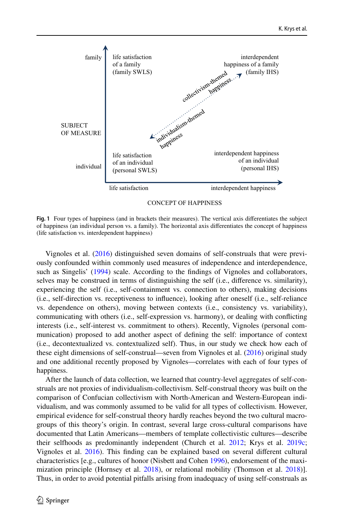

<span id="page-4-0"></span>**Fig. 1** Four types of happiness (and in brackets their measures). The vertical axis diferentiates the subject of happiness (an individual person vs. a family). The horizontal axis diferentiates the concept of happiness (life satisfaction vs. interdependent happiness)

Vignoles et al. [\(2016](#page-16-5)) distinguished seven domains of self-construals that were previously confounded within commonly used measures of independence and interdependence, such as Singelis' [\(1994](#page-16-4)) scale. According to the fndings of Vignoles and collaborators, selves may be construed in terms of distinguishing the self (i.e., diference vs. similarity), experiencing the self (i.e., self-containment vs. connection to others), making decisions (i.e., self-direction vs. receptiveness to infuence), looking after oneself (i.e., self-reliance vs. dependence on others), moving between contexts (i.e., consistency vs. variability), communicating with others (i.e., self-expression vs. harmony), or dealing with conficting interests (i.e., self-interest vs. commitment to others). Recently, Vignoles (personal communication) proposed to add another aspect of defning the self: importance of context (i.e., decontextualized vs. contextualized self). Thus, in our study we check how each of these eight dimensions of self-construal—seven from Vignoles et al. ([2016\)](#page-16-5) original study and one additional recently proposed by Vignoles—correlates with each of four types of happiness.

After the launch of data collection, we learned that country-level aggregates of self-construals are not proxies of individualism-collectivism. Self-construal theory was built on the comparison of Confucian collectivism with North-American and Western-European individualism, and was commonly assumed to be valid for all types of collectivism. However, empirical evidence for self-construal theory hardly reaches beyond the two cultural macrogroups of this theory's origin. In contrast, several large cross-cultural comparisons have documented that Latin Americans—members of template collectivistic cultures—describe their selfhoods as predominantly independent (Church et al. [2012;](#page-14-5) Krys et al. [2019c;](#page-15-2) Vignoles et al. [2016](#page-16-5)). This fnding can be explained based on several diferent cultural characteristics [e.g., cultures of honor (Nisbett and Cohen [1996](#page-15-15)), endorsement of the maxi-mization principle (Hornsey et al. [2018\)](#page-16-6), or relational mobility (Thomson et al. 2018)]. Thus, in order to avoid potential pitfalls arising from inadequacy of using self-construals as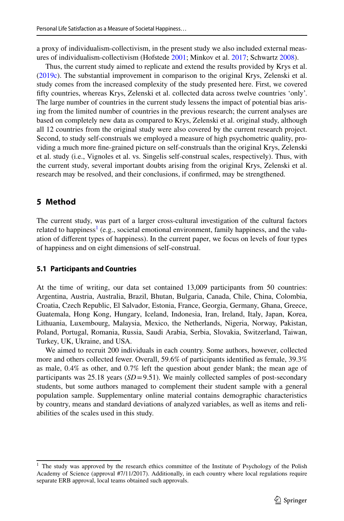a proxy of individualism-collectivism, in the present study we also included external measures of individualism-collectivism (Hofstede [2001](#page-15-0); Minkov et al. [2017;](#page-15-17) Schwartz [2008](#page-16-7)).

Thus, the current study aimed to replicate and extend the results provided by Krys et al. ([2019c](#page-15-2)). The substantial improvement in comparison to the original Krys, Zelenski et al. study comes from the increased complexity of the study presented here. First, we covered ffty countries, whereas Krys, Zelenski et al. collected data across twelve countries 'only'. The large number of countries in the current study lessens the impact of potential bias arising from the limited number of countries in the previous research; the current analyses are based on completely new data as compared to Krys, Zelenski et al. original study, although all 12 countries from the original study were also covered by the current research project. Second, to study self-construals we employed a measure of high psychometric quality, providing a much more fne-grained picture on self-construals than the original Krys, Zelenski et al. study (i.e., Vignoles et al. vs. Singelis self-construal scales, respectively). Thus, with the current study, several important doubts arising from the original Krys, Zelenski et al. research may be resolved, and their conclusions, if confrmed, may be strengthened.

#### **5 Method**

The current study, was part of a larger cross-cultural investigation of the cultural factors related to happiness<sup>1</sup> (e.g., societal emotional environment, family happiness, and the valuation of diferent types of happiness). In the current paper, we focus on levels of four types of happiness and on eight dimensions of self-construal.

#### **5.1 Participants and Countries**

At the time of writing, our data set contained 13,009 participants from 50 countries: Argentina, Austria, Australia, Brazil, Bhutan, Bulgaria, Canada, Chile, China, Colombia, Croatia, Czech Republic, El Salvador, Estonia, France, Georgia, Germany, Ghana, Greece, Guatemala, Hong Kong, Hungary, Iceland, Indonesia, Iran, Ireland, Italy, Japan, Korea, Lithuania, Luxembourg, Malaysia, Mexico, the Netherlands, Nigeria, Norway, Pakistan, Poland, Portugal, Romania, Russia, Saudi Arabia, Serbia, Slovakia, Switzerland, Taiwan, Turkey, UK, Ukraine, and USA.

We aimed to recruit 200 individuals in each country. Some authors, however, collected more and others collected fewer. Overall, 59.6% of participants identifed as female, 39.3% as male, 0.4% as other, and 0.7% left the question about gender blank; the mean age of participants was 25.18 years (*SD*=9.51). We mainly collected samples of post-secondary students, but some authors managed to complement their student sample with a general population sample. Supplementary online material contains demographic characteristics by country, means and standard deviations of analyzed variables, as well as items and reliabilities of the scales used in this study.

<span id="page-5-0"></span> $<sup>1</sup>$  The study was approved by the research ethics committee of the Institute of Psychology of the Polish</sup> Academy of Science (approval #7/11/2017). Additionally, in each country where local regulations require separate ERB approval, local teams obtained such approvals.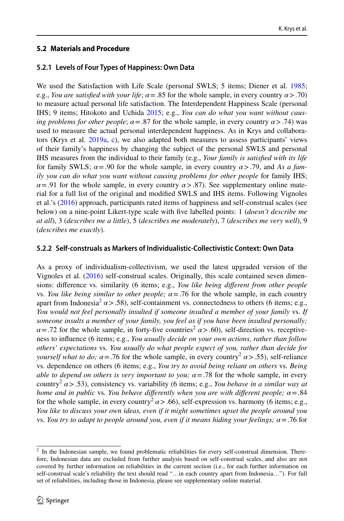#### **5.2 Materials and Procedure**

#### **5.2.1 Levels of Four Types of Happiness: Own Data**

We used the Satisfaction with Life Scale (personal SWLS; 5 items; Diener et al. [1985](#page-14-1); e.g., *You are satisfied with your life*;  $\alpha = 0.85$  for the whole sample, in every country  $\alpha$  > .70) to measure actual personal life satisfaction. The Interdependent Happiness Scale (personal IHS; 9 items; Hitokoto and Uchida [2015](#page-15-8); e.g., *You can do what you want without causing problems for other people*;  $\alpha = 0.87$  for the whole sample, in every country  $\alpha > 0.74$ ) was used to measure the actual personal interdependent happiness. As in Krys and collaborators (Krys et al. [2019a](#page-15-6), [c\)](#page-15-2), we also adapted both measures to assess participants' views of their family's happiness by changing the subject of the personal SWLS and personal IHS measures from the individual to their family (e.g., *Your family is satisfed with its life* for family SWLS;  $\alpha = .90$  for the whole sample, in every country  $\alpha$  > .79, and *As a family you can do what you want without causing problems for other people* for family IHS;  $\alpha$ =.91 for the whole sample, in every country  $\alpha$ >.87). See supplementary online material for a full list of the original and modifed SWLS and IHS items. Following Vignoles et al.'s ([2016\)](#page-16-5) approach, participants rated items of happiness and self-construal scales (see below) on a nine-point Likert-type scale with fve labelled points: 1 (*doesn't describe me at all*), 3 (*describes me a little*), 5 (*describes me moderately*), 7 (*describes me very well*), 9 (*describes me exactly*).

#### **5.2.2 Self‑construals as Markers of Individualistic‑Collectivistic Context: Own Data**

As a proxy of individualism-collectivism, we used the latest upgraded version of the Vignoles et al. [\(2016](#page-16-5)) self-construal scales. Originally, this scale contained seven dimensions: diference vs. similarity (6 items; e.g., *You like being diferent from other people* vs. *You like being similar to other people;*  $\alpha = .76$  for the whole sample, in each country apart from Indonesia<sup>[2](#page-6-0)</sup>  $\alpha$  > .58), self-containment vs. connectedness to others (6 items; e.g., *You would not feel personally insulted if someone insulted a member of your family* vs. *If someone insults a member of your family, you feel as if you have been insulted personally;*   $\alpha$ =.72 for the whole sample, in forty-five countries<sup>2</sup>  $\alpha$  >.60), self-direction vs. receptiveness to infuence (6 items; e.g., *You usually decide on your own actions, rather than follow others' expectations* vs. *You usually do what people expect of you, rather than decide for yourself what to do;*  $\alpha = .76$  *for the whole sample, in every country<sup>2</sup>*  $\alpha$  *> .55), self-reliance* vs. dependence on others (6 items; e.g., *You try to avoid being reliant on others* vs. *Being able to depend on others is very important to you;*  $\alpha = .78$  *for the whole sample, in every* country<sup>2</sup>  $\alpha$  > .53), consistency vs. variability (6 items; e.g., *You behave in a similar way at home and in public vs. You behave differently when you are with different people;*  $\alpha = 0.84$ for the whole sample, in every country<sup>2</sup>  $\alpha$  > .66), self-expression vs. harmony (6 items; e.g., *You like to discuss your own ideas, even if it might sometimes upset the people around you* vs. *You try to adapt to people around you, even if it means hiding your feelings; α*=.76 for

<span id="page-6-0"></span><sup>&</sup>lt;sup>2</sup> In the Indonesian sample, we found problematic reliabilities for every self-construal dimension. Therefore, Indonesian data are excluded from further analysis based on self-construal scales, and also are not covered by further information on reliabilities in the current section (i.e., for each further information on self-construal scale's reliability the text should read "…in each country apart from Indonesia…"). For full set of reliabilities, including those in Indonesia, please see supplementary online material.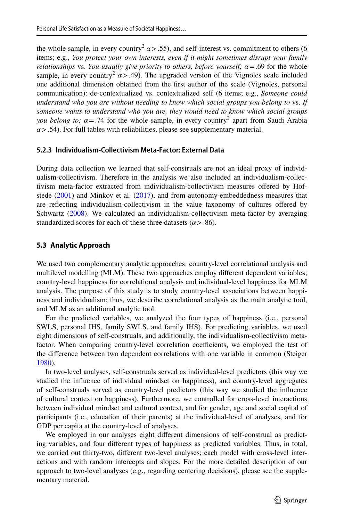the whole sample, in every country<sup>2</sup>  $\alpha$  > .55), and self-interest vs. commitment to others (6 items; e.g., *You protect your own interests, even if it might sometimes disrupt your family relationships* vs. *You usually give priority to others, before yourself;*  $\alpha = .69$  for the whole sample, in every country<sup>2</sup>  $\alpha$  > .49). The upgraded version of the Vignoles scale included one additional dimension obtained from the frst author of the scale (Vignoles, personal communication): de-contextualized vs. contextualized self (6 items; e.g., *Someone could understand who you are without needing to know which social groups you belong to* vs. *If someone wants to understand who you are, they would need to know which social groups you belong to;*  $\alpha = .74$  for the whole sample, in every country<sup>2</sup> apart from Saudi Arabia  $a$   $>$  .54). For full tables with reliabilities, please see supplementary material.

#### **5.2.3 Individualism‑Collectivism Meta‑Factor: External Data**

During data collection we learned that self-construals are not an ideal proxy of individualism-collectivism. Therefore in the analysis we also included an individualism-collectivism meta-factor extracted from individualism-collectivism measures ofered by Hofstede  $(2001)$  $(2001)$  and Minkov et al.  $(2017)$  $(2017)$ , and from autonomy-embeddedness measures that are refecting individualism-collectivism in the value taxonomy of cultures ofered by Schwartz ([2008\)](#page-16-7). We calculated an individualism-collectivism meta-factor by averaging standardized scores for each of these three datasets ( $\alpha$  > .86).

#### **5.3 Analytic Approach**

We used two complementary analytic approaches: country-level correlational analysis and multilevel modelling (MLM). These two approaches employ diferent dependent variables; country-level happiness for correlational analysis and individual-level happiness for MLM analysis. The purpose of this study is to study country-level associations between happiness and individualism; thus, we describe correlational analysis as the main analytic tool, and MLM as an additional analytic tool.

For the predicted variables, we analyzed the four types of happiness (i.e., personal SWLS, personal IHS, family SWLS, and family IHS). For predicting variables, we used eight dimensions of self-construals, and additionally, the individualism-collectivism metafactor. When comparing country-level correlation coefficients, we employed the test of the diference between two dependent correlations with one variable in common (Steiger [1980\)](#page-16-8).

In two-level analyses, self-construals served as individual-level predictors (this way we studied the infuence of individual mindset on happiness), and country-level aggregates of self-construals served as country-level predictors (this way we studied the infuence of cultural context on happiness). Furthermore, we controlled for cross-level interactions between individual mindset and cultural context, and for gender, age and social capital of participants (i.e., education of their parents) at the individual-level of analyses, and for GDP per capita at the country-level of analyses.

We employed in our analyses eight diferent dimensions of self-construal as predicting variables, and four diferent types of happiness as predicted variables. Thus, in total, we carried out thirty-two, diferent two-level analyses; each model with cross-level interactions and with random intercepts and slopes. For the more detailed description of our approach to two-level analyses (e.g., regarding centering decisions), please see the supplementary material.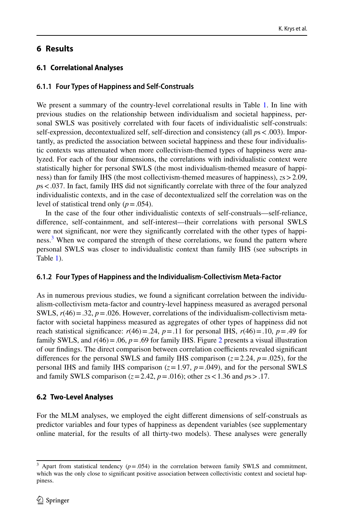# **6 Results**

## **6.1 Correlational Analyses**

#### **6.1.1 Four Types of Happiness and Self‑Construals**

We present a summary of the country-level correlational results in Table [1.](#page-9-0) In line with previous studies on the relationship between individualism and societal happiness, personal SWLS was positively correlated with four facets of individualistic self-construals: self-expression, decontextualized self, self-direction and consistency (all *p*s<.003). Importantly, as predicted the association between societal happiness and these four individualistic contexts was attenuated when more collectivism-themed types of happiness were analyzed. For each of the four dimensions, the correlations with individualistic context were statistically higher for personal SWLS (the most individualism-themed measure of happiness) than for family IHS (the most collectivism-themed measures of happiness), *z*s>2.09, *p*s<.037. In fact, family IHS did not signifcantly correlate with three of the four analyzed individualistic contexts, and in the case of decontextualized self the correlation was on the level of statistical trend only  $(p=.054)$ .

In the case of the four other individualistic contexts of self-construals—self-reliance, diference, self-containment, and self-interest—their correlations with personal SWLS were not signifcant, nor were they signifcantly correlated with the other types of happi-ness.<sup>[3](#page-8-0)</sup> When we compared the strength of these correlations, we found the pattern where personal SWLS was closer to individualistic context than family IHS (see subscripts in Table [1](#page-9-0)).

#### **6.1.2 Four Types of Happiness and the Individualism‑Collectivism Meta‑Factor**

As in numerous previous studies, we found a signifcant correlation between the individualism-collectivism meta-factor and country-level happiness measured as averaged personal SWLS,  $r(46) = .32$ ,  $p = .026$ . However, correlations of the individualism-collectivism metafactor with societal happiness measured as aggregates of other types of happiness did not reach statistical significance:  $r(46) = .24$ ,  $p = .11$  for personal IHS,  $r(46) = .10$ ,  $p = .49$  for family SWLS, and  $r(46) = .06$ ,  $p = .69$  for family IHS. Figure [2](#page-10-0) presents a visual illustration of our findings. The direct comparison between correlation coefficients revealed significant differences for the personal SWLS and family IHS comparison  $(z=2.24, p=.025)$ , for the personal IHS and family IHS comparison  $(z=1.97, p=.049)$ , and for the personal SWLS and family SWLS comparison (*z*=2.42, *p*=.016); other *z*s<1.36 and *p*s>.17.

#### **6.2 Two‑Level Analyses**

For the MLM analyses, we employed the eight diferent dimensions of self-construals as predictor variables and four types of happiness as dependent variables (see supplementary online material, for the results of all thirty-two models). These analyses were generally

<span id="page-8-0"></span><sup>&</sup>lt;sup>3</sup> Apart from statistical tendency  $(p=.054)$  in the correlation between family SWLS and commitment, which was the only close to significant positive association between collectivistic context and societal happiness.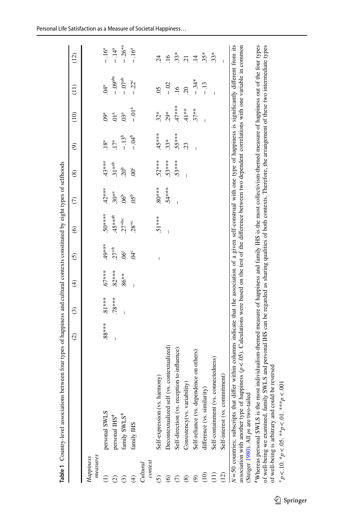<span id="page-9-0"></span>

|                       | between four types of happiness and cultural contexts constituted by eight types of selfhoods<br>Table 1 Country-level associations l                                                                                                                                                                                                                                                                           |                          |          |             |              |           |                 |                 |                |                      |                               |                          |
|-----------------------|-----------------------------------------------------------------------------------------------------------------------------------------------------------------------------------------------------------------------------------------------------------------------------------------------------------------------------------------------------------------------------------------------------------------|--------------------------|----------|-------------|--------------|-----------|-----------------|-----------------|----------------|----------------------|-------------------------------|--------------------------|
|                       |                                                                                                                                                                                                                                                                                                                                                                                                                 | $\odot$                  | $\odot$  | $\bigoplus$ | <u>ර</u>     | ତି        | $\in$           | $\circledast$   | $\circledcirc$ | $\frac{1}{2}$        | $\left(\frac{1}{2}\right)$    | (12)                     |
| measures<br>Happiness |                                                                                                                                                                                                                                                                                                                                                                                                                 |                          |          |             |              |           |                 |                 |                |                      |                               |                          |
| Ξ                     | personal SWLS                                                                                                                                                                                                                                                                                                                                                                                                   | $88***$                  | $81***$  | $.67***$    | $.49***a$    | $50***4$  | $.42***a$       | $.43***a$       | $.18^{a}$      | .09 <sup>a</sup>     | $\mathfrak{A}^{\mathfrak{a}}$ | $-16^{a}$                |
| $\widehat{\circ}$     | personal IHS <sup>#</sup>                                                                                                                                                                                                                                                                                                                                                                                       | $\overline{\phantom{a}}$ | $.78***$ | $.82***$    | $.27+b$      | $45***ab$ | $.30^{*a}$      | $31*^{ab}$      | $17^a$         | .01 <sup>a</sup>     | $-0.09$ also                  | $-14^{a}$                |
| ⊙                     | family SWLS <sup>#</sup>                                                                                                                                                                                                                                                                                                                                                                                        |                          | Ï        | $.86**$     | $-90$ .      | $.27+bc$  | $600$           | 20 <sup>b</sup> | $-13^{6}$      | 03 <sup>a</sup>      | $-0.07$ <sup>ab</sup>         | $-.26^{+a}$              |
| ⊕                     | family IHS                                                                                                                                                                                                                                                                                                                                                                                                      |                          |          |             | $64^{\circ}$ | $28^{+c}$ | 05 <sup>b</sup> | $6^{\circ}$     | $-0.4^{\circ}$ | $-0.01$ <sup>a</sup> | $-22^c$                       | $-.16^{a}$               |
| Cultural              |                                                                                                                                                                                                                                                                                                                                                                                                                 |                          |          |             |              |           |                 |                 |                |                      |                               |                          |
| context               |                                                                                                                                                                                                                                                                                                                                                                                                                 |                          |          |             |              |           |                 |                 |                |                      |                               |                          |
| <u>ତ</u>              | Self-expression (vs. harmony)                                                                                                                                                                                                                                                                                                                                                                                   |                          |          |             | I            | $51***$   | $80***$         | $52***$         | $45***$        | $32*$                | $\overline{6}$                | $\overline{c}$           |
| $\circledcirc$        | Decontextualized self (vs. contextualized)                                                                                                                                                                                                                                                                                                                                                                      |                          |          |             |              | I         | 54***           | $.53***$        | $.33*$         | $29*$                | $-0.02$                       | $\frac{6}{1}$            |
| E                     | Self-direction (vs. reception to influence)                                                                                                                                                                                                                                                                                                                                                                     |                          |          |             |              |           | Ï               | $.53***$        | 55***          | $47***$              | $\overline{16}$               | $.33*$                   |
| $\circledast$         | Consistency(vs. variability)                                                                                                                                                                                                                                                                                                                                                                                    |                          |          |             |              |           |                 | Ï               | 23             | $41**$               | $\infty$                      | $\overline{c}$           |
| ම                     | Self-reliance (vs. dependence on others)                                                                                                                                                                                                                                                                                                                                                                        |                          |          |             |              |           |                 |                 | I              | $.37***$             | $-34*$                        | $\overline{4}$           |
| $\widehat{\Xi}$       | difference (vs. similarity)                                                                                                                                                                                                                                                                                                                                                                                     |                          |          |             |              |           |                 |                 |                |                      | $-13$                         | $.35*$                   |
| Ë)                    | Self-containment (vs. connectedness)                                                                                                                                                                                                                                                                                                                                                                            |                          |          |             |              |           |                 |                 |                |                      | Ï                             | $.33*$                   |
| (12)                  | Self-interest (vs. commitment)                                                                                                                                                                                                                                                                                                                                                                                  |                          |          |             |              |           |                 |                 |                |                      |                               | $\overline{\phantom{a}}$ |
|                       | $N = 50$ countries; subscripts that differ within columns indicate that the association of a given self-construal with one type of happiness is significantly different from its<br>association with another type of happiness (p < 05). Calculations were based on the test of the difference between two dependent correlations with one variable in common<br>(Steiger 1980). All ps are two-tailed          |                          |          |             |              |           |                 |                 |                |                      |                               |                          |
|                       | *Whereas personal SWLS is the most individualism-themed measure of happiness and family IHS is the most collectivism-themed measure of happiness out of the four types<br>SWLS and personal IHS can be regarded as sharing qualities of both contexts. Therefore, the arrangement of these two intermediate types<br>be reversed<br>of well-being we examined, family !<br>of well-being is arbitrary and could |                          |          |             |              |           |                 |                 |                |                      |                               |                          |
|                       | $\overline{0}$<br>$p < 10.$ * $p < 0.05.$ ** $p < 0.1.$ *** $p < 0.1$                                                                                                                                                                                                                                                                                                                                           |                          |          |             |              |           |                 |                 |                |                      |                               |                          |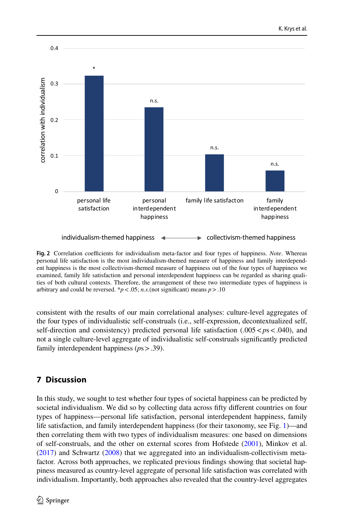

<span id="page-10-0"></span>Fig. 2 Correlation coefficients for individualism meta-factor and four types of happiness. *Note*. Whereas personal life satisfaction is the most individualism-themed measure of happiness and family interdependent happiness is the most collectivism-themed measure of happiness out of the four types of happiness we examined, family life satisfaction and personal interdependent happiness can be regarded as sharing qualities of both cultural contexts. Therefore, the arrangement of these two intermediate types of happiness is arbitrary and could be reversed.  $*p < .05$ ; *n.s.*(not significant) means  $p > .10$ 

consistent with the results of our main correlational analyses: culture-level aggregates of the four types of individualistic self-construals (i.e., self-expression, decontextualized self, self-direction and consistency) predicted personal life satisfaction (.005<*p*s<.040), and not a single culture-level aggregate of individualistic self-construals signifcantly predicted family interdependent happiness ( $ps$  > .39).

# **7 Discussion**

In this study, we sought to test whether four types of societal happiness can be predicted by societal individualism. We did so by collecting data across ffty diferent countries on four types of happiness—personal life satisfaction, personal interdependent happiness, family life satisfaction, and family interdependent happiness (for their taxonomy, see Fig. [1](#page-4-0))—and then correlating them with two types of individualism measures: one based on dimensions of self-construals, and the other on external scores from Hofstede ([2001\)](#page-15-0), Minkov et al. ([2017\)](#page-15-17) and Schwartz ([2008\)](#page-16-7) that we aggregated into an individualism-collectivism metafactor. Across both approaches, we replicated previous fndings showing that societal happiness measured as country-level aggregate of personal life satisfaction was correlated with individualism. Importantly, both approaches also revealed that the country-level aggregates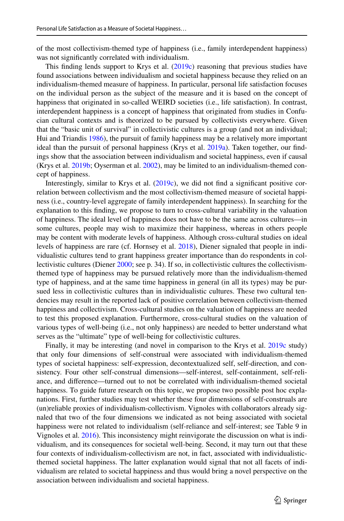of the most collectivism-themed type of happiness (i.e., family interdependent happiness) was not signifcantly correlated with individualism.

This finding lends support to Krys et al.  $(2019c)$  $(2019c)$  reasoning that previous studies have found associations between individualism and societal happiness because they relied on an individualism-themed measure of happiness. In particular, personal life satisfaction focuses on the individual person as the subject of the measure and it is based on the concept of happiness that originated in so-called WEIRD societies (i.e., life satisfaction). In contrast, interdependent happiness is a concept of happiness that originated from studies in Confucian cultural contexts and is theorized to be pursued by collectivists everywhere. Given that the "basic unit of survival" in collectivistic cultures is a group (and not an individual; Hui and Triandis [1986](#page-15-12)), the pursuit of family happiness may be a relatively more important ideal than the pursuit of personal happiness (Krys et al. [2019a](#page-15-6)). Taken together, our fndings show that the association between individualism and societal happiness, even if causal (Krys et al. [2019b](#page-15-1); Oyserman et al. [2002\)](#page-15-5), may be limited to an individualism-themed concept of happiness.

Interestingly, similar to Krys et al. ([2019c](#page-15-2)), we did not fnd a signifcant positive correlation between collectivism and the most collectivism-themed measure of societal happiness (i.e., country-level aggregate of family interdependent happiness). In searching for the explanation to this fnding, we propose to turn to cross-cultural variability in the valuation of happiness. The ideal level of happiness does not have to be the same across cultures—in some cultures, people may wish to maximize their happiness, whereas in others people may be content with moderate levels of happiness. Although cross-cultural studies on ideal levels of happiness are rare (cf. Hornsey et al. [2018\)](#page-15-16), Diener signaled that people in individualistic cultures tend to grant happiness greater importance than do respondents in col-lectivistic cultures (Diener [2000;](#page-14-6) see p. 34). If so, in collectivistic cultures the collectivismthemed type of happiness may be pursued relatively more than the individualism-themed type of happiness, and at the same time happiness in general (in all its types) may be pursued less in collectivistic cultures than in individualistic cultures. These two cultural tendencies may result in the reported lack of positive correlation between collectivism-themed happiness and collectivism. Cross-cultural studies on the valuation of happiness are needed to test this proposed explanation. Furthermore, cross-cultural studies on the valuation of various types of well-being (i.e., not only happiness) are needed to better understand what serves as the "ultimate" type of well-being for collectivistic cultures.

Finally, it may be interesting (and novel in comparison to the Krys et al. [2019c](#page-15-2) study) that only four dimensions of self-construal were associated with individualism-themed types of societal happiness: self-expression, decontextualized self, self-direction, and consistency. Four other self-construal dimensions—self-interest, self-containment, self-reliance, and diference—turned out to not be correlated with individualism-themed societal happiness. To guide future research on this topic, we propose two possible post hoc explanations. First, further studies may test whether these four dimensions of self-construals are (un)reliable proxies of individualism-collectivism. Vignoles with collaborators already signaled that two of the four dimensions we indicated as not being associated with societal happiness were not related to individualism (self-reliance and self-interest; see Table 9 in Vignoles et al. [2016](#page-16-5)). This inconsistency might reinvigorate the discussion on what is individualism, and its consequences for societal well-being. Second, it may turn out that these four contexts of individualism-collectivism are not, in fact, associated with individualisticthemed societal happiness. The latter explanation would signal that not all facets of individualism are related to societal happiness and thus would bring a novel perspective on the association between individualism and societal happiness.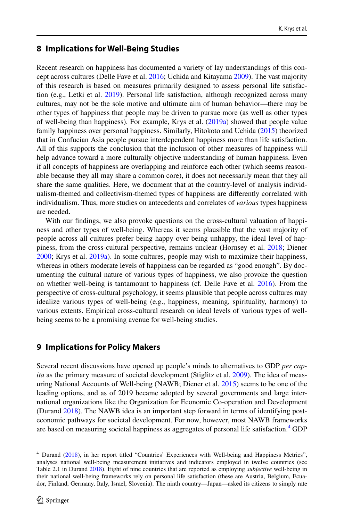#### **8 Implications for Well‑Being Studies**

Recent research on happiness has documented a variety of lay understandings of this concept across cultures (Delle Fave et al. [2016](#page-14-2); Uchida and Kitayama [2009\)](#page-16-1). The vast majority of this research is based on measures primarily designed to assess personal life satisfaction (e.g., Letki et al. [2019](#page-15-18)). Personal life satisfaction, although recognized across many cultures, may not be the sole motive and ultimate aim of human behavior—there may be other types of happiness that people may be driven to pursue more (as well as other types of well-being than happiness). For example, Krys et al. ([2019a](#page-15-6)) showed that people value family happiness over personal happiness. Similarly, Hitokoto and Uchida ([2015\)](#page-15-8) theorized that in Confucian Asia people pursue interdependent happiness more than life satisfaction. All of this supports the conclusion that the inclusion of other measures of happiness will help advance toward a more culturally objective understanding of human happiness. Even if all concepts of happiness are overlapping and reinforce each other (which seems reasonable because they all may share a common core), it does not necessarily mean that they all share the same qualities. Here, we document that at the country-level of analysis individualism-themed and collectivism-themed types of happiness are diferently correlated with individualism. Thus, more studies on antecedents and correlates of *various* types happiness are needed.

With our fndings, we also provoke questions on the cross-cultural valuation of happiness and other types of well-being. Whereas it seems plausible that the vast majority of people across all cultures prefer being happy over being unhappy, the ideal level of happiness, from the cross-cultural perspective, remains unclear (Hornsey et al. [2018;](#page-15-16) Diener [2000;](#page-14-6) Krys et al. [2019a](#page-15-6)). In some cultures, people may wish to maximize their happiness, whereas in others moderate levels of happiness can be regarded as "good enough". By documenting the cultural nature of various types of happiness, we also provoke the question on whether well-being is tantamount to happiness (cf. Delle Fave et al. [2016](#page-14-2)). From the perspective of cross-cultural psychology, it seems plausible that people across cultures may idealize various types of well-being (e.g., happiness, meaning, spirituality, harmony) to various extents. Empirical cross-cultural research on ideal levels of various types of wellbeing seems to be a promising avenue for well-being studies.

#### **9 Implications for Policy Makers**

Several recent discussions have opened up people's minds to alternatives to GDP *per capita* as the primary measure of societal development (Stiglitz et al. [2009](#page-16-9)). The idea of measuring National Accounts of Well-being (NAWB; Diener et al. [2015](#page-14-7)) seems to be one of the leading options, and as of 2019 became adopted by several governments and large international organizations like the Organization for Economic Co-operation and Development (Durand [2018](#page-14-8)). The NAWB idea is an important step forward in terms of identifying posteconomic pathways for societal development. For now, however, most NAWB frameworks are based on measuring societal happiness as aggregates of personal life satisfaction.<sup>[4](#page-12-0)</sup> GDP

<span id="page-12-0"></span><sup>4</sup> Durand [\(2018](#page-14-8)), in her report titled "Countries' Experiences with Well-being and Happiness Metrics", analyses national well-being measurement initiatives and indicators employed in twelve countries (see Table 2.1 in Durand [2018](#page-14-8)). Eight of nine countries that are reported as employing *subjective* well-being in their national well-being frameworks rely on personal life satisfaction (these are Austria, Belgium, Ecuador, Finland, Germany, Italy, Israel, Slovenia). The ninth country—Japan—asked its citizens to simply rate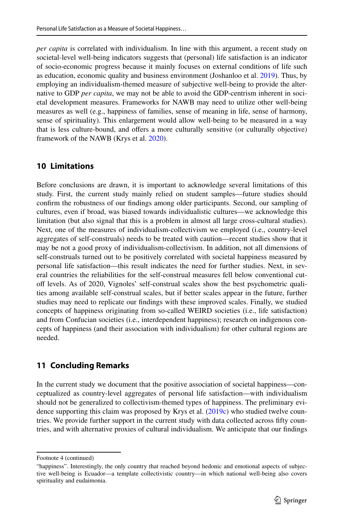*per capita* is correlated with individualism. In line with this argument, a recent study on societal-level well-being indicators suggests that (personal) life satisfaction is an indicator of socio-economic progress because it mainly focuses on external conditions of life such as education, economic quality and business environment (Joshanloo et al. [2019](#page-15-19)). Thus, by employing an individualism-themed measure of subjective well-being to provide the alternative to GDP *per capita*, we may not be able to avoid the GDP-centrism inherent in societal development measures. Frameworks for NAWB may need to utilize other well-being measures as well (e.g., happiness of families, sense of meaning in life, sense of harmony, sense of spirituality). This enlargement would allow well-being to be measured in a way that is less culture-bound, and ofers a more culturally sensitive (or culturally objective) framework of the NAWB (Krys et al. [2020\)](#page-15-20).

# **10 Limitations**

Before conclusions are drawn, it is important to acknowledge several limitations of this study. First, the current study mainly relied on student samples—future studies should confrm the robustness of our fndings among older participants. Second, our sampling of cultures, even if broad, was biased towards individualistic cultures—we acknowledge this limitation (but also signal that this is a problem in almost all large cross-cultural studies). Next, one of the measures of individualism-collectivism we employed (i.e., country-level aggregates of self-construals) needs to be treated with caution—recent studies show that it may be not a good proxy of individualism-collectivism. In addition, not all dimensions of self-construals turned out to be positively correlated with societal happiness measured by personal life satisfaction—this result indicates the need for further studies. Next, in several countries the reliabilities for the self-construal measures fell below conventional cutof levels. As of 2020, Vignoles' self-construal scales show the best psychometric qualities among available self-construal scales, but if better scales appear in the future, further studies may need to replicate our fndings with these improved scales. Finally, we studied concepts of happiness originating from so-called WEIRD societies (i.e., life satisfaction) and from Confucian societies (i.e., interdependent happiness); research on indigenous concepts of happiness (and their association with individualism) for other cultural regions are needed.

# **11 Concluding Remarks**

In the current study we document that the positive association of societal happiness—conceptualized as country-level aggregates of personal life satisfaction—with individualism should not be generalized to collectivism-themed types of happiness. The preliminary evidence supporting this claim was proposed by Krys et al. [\(2019c](#page-15-2)) who studied twelve countries. We provide further support in the current study with data collected across ffty countries, and with alternative proxies of cultural individualism. We anticipate that our fndings

Footnote 4 (continued)

<sup>&</sup>quot;happiness". Interestingly, the only country that reached beyond hedonic and emotional aspects of subjective well-being is Ecuador—a template collectivistic country—in which national well-being also covers spirituality and eudaimonia.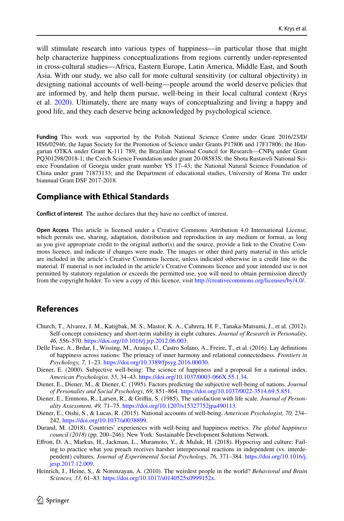will stimulate research into various types of happiness—in particular those that might help characterize happiness conceptualizations from regions currently under-represented in cross-cultural studies—Africa, Eastern Europe, Latin America, Middle East, and South Asia. With our study, we also call for more cultural sensitivity (or cultural objectivity) in designing national accounts of well-being—people around the world deserve policies that are informed by, and help them pursue, well-being in their local cultural context (Krys et al. [2020\)](#page-15-20). Ultimately, there are many ways of conceptualizing and living a happy and good life, and they each deserve being acknowledged by psychological science.

**Funding** This work was supported by the Polish National Science Centre under Grant 2016/23/D/ HS6/02946; the Japan Society for the Promotion of Science under Grants P17806 and 17F17806; the Hungarian OTKA under Grant K-111 789; the Brazilian National Council for Research—CNPq under Grant PQ301298/2018-1; the Czech Science Foundation under grant 20-08583S; the Shota Rustaveli National Science Foundation of Georgia under grant number YS 17–43; the National Natural Science Foundation of China under grant 71873133; and the Department of educational studies, University of Roma Tre under biannual Grant DSF 2017-2018.

#### **Compliance with Ethical Standards**

**Confict of interest** The author declares that they have no confict of interest.

**Open Access** This article is licensed under a Creative Commons Attribution 4.0 International License, which permits use, sharing, adaptation, distribution and reproduction in any medium or format, as long as you give appropriate credit to the original author(s) and the source, provide a link to the Creative Commons licence, and indicate if changes were made. The images or other third party material in this article are included in the article's Creative Commons licence, unless indicated otherwise in a credit line to the material. If material is not included in the article's Creative Commons licence and your intended use is not permitted by statutory regulation or exceeds the permitted use, you will need to obtain permission directly from the copyright holder. To view a copy of this licence, visit [http://creativecommons.org/licenses/by/4.0/.](http://creativecommons.org/licenses/by/4.0/)

#### **References**

- <span id="page-14-5"></span>Church, T., Alvarez, J. M., Katigbak, M. S., Mastor, K. A., Cabrera, H. F., Tanaka-Matsumi, J., et al. (2012). Self-concept consistency and short-term stability in eight cultures. *Journal of Research in Personality, 46,* 556–570. [https://doi.org/10.1016/j.jrp.2012.06.003.](https://doi.org/10.1016/j.jrp.2012.06.003)
- <span id="page-14-2"></span>Delle Fave, A., Brdar, I., Wissing, M., Araujo, U., Castro Solano, A., Freire, T., et al. (2016). Lay defnitions of happiness across nations: The primacy of inner harmony and relational connectedness. *Frontiers in Psychology, 7,* 1–23.<https://doi.org/10.3389/fpsyg.2016.00030>.
- <span id="page-14-6"></span>Diener, E. (2000). Subjective well-being: The science of happiness and a proposal for a national index. *American Psychologist, 55*, 34–43. <https://doi.org/10.1037/0003-066X.55.1.34>.
- <span id="page-14-0"></span>Diener, E., Diener, M., & Diener, C. (1995). Factors predicting the subjective well-being of nations. *Journal of Personality and Social Psychology, 69,* 851–864. [https://doi.org/10.1037/0022-3514.69.5.851.](https://doi.org/10.1037/0022-3514.69.5.851)
- <span id="page-14-1"></span>Diener, E., Emmons, R., Larsen, R., & Griffin, S. (1985). The satisfaction with life scale. *Journal of Personality Assessment, 49,* 71–75. [https://doi.org/10.1207/s15327752jpa490113.](https://doi.org/10.1207/s15327752jpa490113)
- <span id="page-14-7"></span>Diener, E., Oishi, S., & Lucas, R. (2015). National accounts of well-being. *American Psychologist, 70,* 234– 242. [https://doi.org/10.1037/a0038899.](https://doi.org/10.1037/a0038899)
- <span id="page-14-8"></span>Durand, M. (2018). Countries' experiences with well-being and happiness metrics. *The global happiness council (2018)* (pp. 200–246). New York: Sustainable Development Solutions Network.
- <span id="page-14-4"></span>Efron, D. A., Markus, H., Jackman, L., Muramoto, Y., & Muluk, H. (2018). Hypocrisy and culture: Failing to practice what you preach receives harsher interpersonal reactions in independent (vs. interdependent) cultures. *Journal of Experimental Social Psychology, 76,* 371–384. [https://doi.org/10.1016/j.](https://doi.org/10.1016/j.jesp.2017.12.009) [jesp.2017.12.009.](https://doi.org/10.1016/j.jesp.2017.12.009)
- <span id="page-14-3"></span>Heinrich, J., Heine, S., & Norenzayan, A. (2010). The weirdest people in the world? *Behavioral and Brain Sciences, 33,* 61–83. [https://doi.org/10.1017/s0140525x0999152x.](https://doi.org/10.1017/s0140525x0999152x)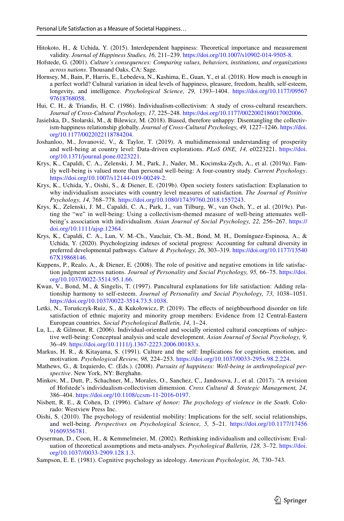- <span id="page-15-8"></span>Hitokoto, H., & Uchida, Y. (2015). Interdependent happiness: Theoretical importance and measurement validity. *Journal of Happiness Studies, 16,* 211–239. <https://doi.org/10.1007/s10902-014-9505-8>.
- <span id="page-15-0"></span>Hofstede, G. (2001). *Culture's consequences: Comparing values, behaviors, institutions, and organizations across nations*. Thousand Oaks, CA: Sage.
- <span id="page-15-16"></span>Hornsey, M., Bain, P., Harris, E., Lebedeva, N., Kashima, E., Guan, Y., et al. (2018). How much is enough in a perfect world? Cultural variation in ideal levels of happiness, pleasure, freedom, health, self-esteem, longevity, and intelligence. *Psychological Science, 29,* 1393–1404. [https://doi.org/10.1177/09567](https://doi.org/10.1177/0956797618768058) [97618768058.](https://doi.org/10.1177/0956797618768058)
- <span id="page-15-12"></span>Hui, C. H., & Triandis, H. C. (1986). Individualism-collectivism: A study of cross-cultural researchers. *Journal of Cross-Cultural Psychology, 17,* 225–248. <https://doi.org/10.1177/0022002186017002006>.
- <span id="page-15-4"></span>Jasielska, D., Stolarski, M., & Bilewicz, M. (2018). Biased, therefore unhappy: Disentangling the collectivism-happiness relationship globally. *Journal of Cross-Cultural Psychology, 49,* 1227–1246. [https://doi.](https://doi.org/10.1177/0022022118784204) [org/10.1177/0022022118784204.](https://doi.org/10.1177/0022022118784204)
- <span id="page-15-19"></span>Joshanloo, M., Jovanović, V., & Taylor, T. (2019). A multidimensional understanding of prosperity and well-being at country level: Data-driven explorations. *PLoS ONE, 14,* e0223221. [https://doi.](https://doi.org/10.1371/journal.pone.0223221) [org/10.1371/journal.pone.0223221.](https://doi.org/10.1371/journal.pone.0223221)
- <span id="page-15-6"></span>Krys, K., Capaldi, C. A., Zelenski, J. M., Park, J., Nader, M., Kocimska-Zych, A., et al. (2019a). Family well-being is valued more than personal well-being: A four-country study. *Current Psychology*. <https://doi.org/10.1007/s12144-019-00249-2>.
- <span id="page-15-1"></span>Krys, K., Uchida, Y., Oishi, S., & Diener, E. (2019b). Open society fosters satisfaction: Explanation to why individualism associates with country level measures of satisfaction. *The Journal of Positive Psychology, 14,* 768–778. [https://doi.org/10.1080/17439760.2018.1557243.](https://doi.org/10.1080/17439760.2018.1557243)
- <span id="page-15-2"></span>Krys, K., Zelenski, J. M., Capaldi, C. A., Park, J., van Tilburg, W., van Osch, Y., et al. (2019c). Putting the "we" in well-being: Using a collectivism-themed measure of well-being attenuates wellbeing's association with individualism. *Asian Journal of Social Psychology, 22,* 256–267. [https://](https://doi.org/10.1111/ajsp.12364) [doi.org/10.1111/ajsp.12364.](https://doi.org/10.1111/ajsp.12364)
- <span id="page-15-20"></span>Krys, K., Capaldi, C. A., Lun, V. M.-Ch., Vauclair, Ch.-M., Bond, M. H., Domínguez-Espinosa, A., & Uchida, Y. (2020). Psychologizing indexes of societal progress: Accounting for cultural diversity in preferred developmental pathways. *Culture & Psychology, 26*, 303–319. [https://doi.org/10.1177/13540](https://doi.org/10.1177/1354067X19868146) [67X19868146.](https://doi.org/10.1177/1354067X19868146)
- <span id="page-15-3"></span>Kuppens, P., Realo, A., & Diener, E. (2008). The role of positive and negative emotions in life satisfaction judgment across nations. *Journal of Personality and Social Psychology, 95,* 66–75. [https://doi.](https://doi.org/10.1037/0022-3514.95.1.66) [org/10.1037/0022-3514.95.1.66.](https://doi.org/10.1037/0022-3514.95.1.66)
- <span id="page-15-7"></span>Kwan, V., Bond, M., & Singelis, T. (1997). Pancultural explanations for life satisfaction: Adding relationship harmony to self-esteem. *Journal of Personality and Social Psychology, 73,* 1038–1051. [https://doi.org/10.1037/0022-3514.73.5.1038.](https://doi.org/10.1037/0022-3514.73.5.1038)
- <span id="page-15-18"></span>Letki, N., Toruńczyk-Ruiz, S., & Kukołowicz, P. (2019). The efects of neighbourhood disorder on life satisfaction of ethnic majority and minority group members: Evidence from 12 Central-Eastern European countries. *Social Psychological Bulletin, 14,* 1–24.
- <span id="page-15-10"></span>Lu, L., & Gilmour, R. (2006). Individual-oriented and socially oriented cultural conceptions of subjective well-being: Conceptual analysis and scale development. *Asian Journal of Social Psychology, 9,* 36–49. <https://doi.org/10.1111/j.1367-2223.2006.00183.x>.
- <span id="page-15-14"></span>Markus, H. R., & Kitayama, S. (1991). Culture and the self: Implications for cognition, emotion, and motivation. *Psychological Review, 98,* 224–253.<https://doi.org/10.1037/0033-295x.98.2.224>.
- <span id="page-15-9"></span>Mathews, G., & Izquierdo, C. (Eds.). (2008). *Pursuits of happiness: Well-being in anthropological perspective*. New York, NY: Berghahn.
- <span id="page-15-17"></span>Minkov, M., Dutt, P., Schachner, M., Morales, O., Sanchez, C., Jandosova, J., et al. (2017). "A revision of Hofstede's individualism-collectivism dimension. *Cross Cultural & Strategic Management, 24,* 386–404. <https://doi.org/10.1108/ccsm-11-2016-0197>.
- <span id="page-15-15"></span>Nisbett, R. E., & Cohen, D. (1996). *Culture of honor: The psychology of violence in the South*. Colorado: Westview Press Inc.
- <span id="page-15-11"></span>Oishi, S. (2010). The psychology of residential mobility: Implications for the self, social relationships, and well-being. *Perspectives on Psychological Science, 5,* 5–21. [https://doi.org/10.1177/17456](https://doi.org/10.1177/1745691609356781) [91609356781](https://doi.org/10.1177/1745691609356781).
- <span id="page-15-5"></span>Oyserman, D., Coon, H., & Kemmelmeier, M. (2002). Rethinking individualism and collectivism: Evaluation of theoretical assumptions and meta-analyses. *Psychological Bulletin, 128,* 3–72. [https://doi.](https://doi.org/10.1037//0033-2909.128.1.3) [org/10.1037//0033-2909.128.1.3](https://doi.org/10.1037//0033-2909.128.1.3).
- <span id="page-15-13"></span>Sampson, E. E. (1981). Cognitive psychology as ideology. *American Psychologist, 36,* 730–743.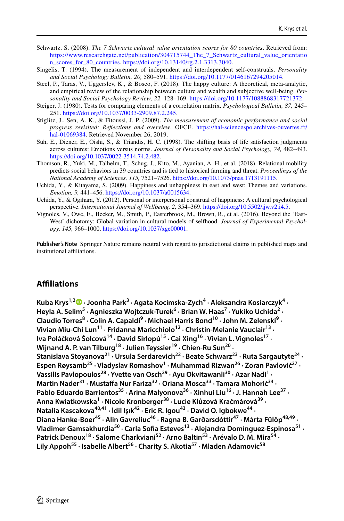- <span id="page-16-7"></span>Schwartz, S. (2008). *The 7 Schwartz cultural value orientation scores for 80 countries*. Retrieved from: [https://www.researchgate.net/publication/304715744\\_The\\_7\\_Schwartz\\_cultural\\_value\\_orientatio](https://www.researchgate.net/publication/304715744_The_7_Schwartz_cultural_value_orientation_scores_for_80_countries) n scores for 80 countries. [https://doi.org/10.13140/rg.2.1.3313.3040.](https://doi.org/10.13140/rg.2.1.3313.3040)
- <span id="page-16-4"></span>Singelis, T. (1994). The measurement of independent and interdependent self-construals. *Personality and Social Psychology Bulletin, 20,* 580–591. [https://doi.org/10.1177/0146167294205014.](https://doi.org/10.1177/0146167294205014)
- <span id="page-16-0"></span>Steel, P., Taras, V., Uggerslev, K., & Bosco, F. (2018). The happy culture: A theoretical, meta-analytic, and empirical review of the relationship between culture and wealth and subjective well-being. *Personality and Social Psychology Review, 22,* 128–169.<https://doi.org/10.1177/1088868317721372>.
- <span id="page-16-8"></span>Steiger, J. (1980). Tests for comparing elements of a correlation matrix. *Psychological Bulletin, 87,* 245– 251.<https://doi.org/10.1037/0033-2909.87.2.245>.
- <span id="page-16-9"></span>Stiglitz, J., Sen, A. K., & Fitoussi, J. P. (2009). *The measurement of economic performance and social progress revisited: Refections and overview*. OFCE. [https://hal-sciencespo.archives-ouvertes.fr/](https://hal-sciencespo.archives-ouvertes.fr/hal-01069384) [hal-01069384.](https://hal-sciencespo.archives-ouvertes.fr/hal-01069384) Retrieved November 26, 2019.
- <span id="page-16-3"></span>Suh, E., Diener, E., Oishi, S., & Triandis, H. C. (1998). The shifting basis of life satisfaction judgments across cultures: Emotions versus norms. *Journal of Personality and Social Psychology, 74,* 482–493. [https://doi.org/10.1037/0022-3514.74.2.482.](https://doi.org/10.1037/0022-3514.74.2.482)
- <span id="page-16-6"></span>Thomson, R., Yuki, M., Talhelm, T., Schug, J., Kito, M., Ayanian, A. H., et al. (2018). Relational mobility predicts social behaviors in 39 countries and is tied to historical farming and threat. *Proceedings of the National Academy of Sciences, 115,* 7521–7526. [https://doi.org/10.1073/pnas.1713191115.](https://doi.org/10.1073/pnas.1713191115)
- <span id="page-16-1"></span>Uchida, Y., & Kitayama, S. (2009). Happiness and unhappiness in east and west: Themes and variations. *Emotion, 9,* 441–456. [https://doi.org/10.1037/a0015634.](https://doi.org/10.1037/a0015634)
- <span id="page-16-2"></span>Uchida, Y., & Ogihara, Y. (2012). Personal or interpersonal construal of happiness: A cultural psychological perspective. *International Journal of Wellbeing, 2,* 354–369. [https://doi.org/10.5502/ijw.v2.i4.5.](https://doi.org/10.5502/ijw.v2.i4.5)
- <span id="page-16-5"></span>Vignoles, V., Owe, E., Becker, M., Smith, P., Easterbrook, M., Brown, R., et al. (2016). Beyond the 'East-West' dichotomy: Global variation in cultural models of selfhood. *Journal of Experimental Psychology, 145,* 966–1000.<https://doi.org/10.1037/xge00001>.

**Publisher's Note** Springer Nature remains neutral with regard to jurisdictional claims in published maps and institutional affiliations.

## **Afliations**

KubaKrys<sup>1,2</sup> • Joonha Park<sup>3</sup> • Agata Kocimska-Zych<sup>4</sup> • Aleksandra Kosiarczyk<sup>4</sup> • Heyla A. Selim<sup>5</sup> · Agnieszka Wojtczuk-Turek<sup>6</sup> · Brian W. Haas<sup>7</sup> · Yukiko Uchida<sup>2</sup> · Claudio Torres<sup>8</sup> · Colin A. Capaldi<sup>9</sup> · Michael Harris Bond<sup>10</sup> · John M. Zelenski<sup>9</sup> · Vivian Miu-Chi Lun<sup>11</sup> · Fridanna Maricchiolo<sup>12</sup> · Christin-Melanie Vauclair<sup>13</sup> · Iva Poláčková Šolcová<sup>14</sup> · David Sirlopú<sup>15</sup> · Cai Xing<sup>16</sup> · Vivian L. Vignoles<sup>17</sup> · Wijnand A. P. van Tilburg<sup>18</sup> · Julien Teyssier<sup>19</sup> · Chien-Ru Sun<sup>20</sup> · Stanislava Stoyanova<sup>21</sup> · Ursula Serdarevich<sup>22</sup> · Beate Schwarz<sup>23</sup> · Ruta Sargautyte<sup>24</sup> · Espen Røysamb<sup>25</sup> · Vladyslav Romashov<sup>1</sup> · Muhammad Rizwan<sup>26</sup> · Zoran Pavlović<sup>27</sup> · Vassilis Pavlopoulos<sup>28</sup> · Yvette van Osch<sup>29</sup> · Ayu Okvitawanli<sup>30</sup> · Azar Nadi<sup>1</sup> · Martin Nader<sup>31</sup> · Mustaffa Nur Fariza<sup>32</sup> · Oriana Mosca<sup>33</sup> · Tamara Mohorić<sup>34</sup> · Pablo Eduardo Barrientos<sup>35</sup> · Arina Malyonova<sup>36</sup> · Xinhui Liu<sup>16</sup> · J. Hannah Lee<sup>37</sup> · **Anna Kwiatkowska1 · Nicole Kronberger38 · Lucie Klůzová Kračmárová39 ·**  Natalia Kascakova<sup>40,41</sup> · İdil Işık<sup>42</sup> · Eric R. Igou<sup>43</sup> · David O. Igbokwe<sup>44</sup> · **Diana Hanke‑Boer45 · Alin Gavreliuc46 · Ragna B. Garðarsdóttir47 · Márta Fülöp48,49 ·**  Vladimer Gamsakhurdia<sup>50</sup> · Carla Sofia Esteves<sup>13</sup> · Alejandra Domínguez-Espinosa<sup>51</sup> · Patrick Denoux<sup>18</sup> · Salome Charkviani<sup>52</sup> · Arno Baltin<sup>53</sup> · Arévalo D. M. Mira<sup>54</sup> · Lily Appoh<sup>55</sup> · Isabelle Albert<sup>56</sup> · Charity S. Akotia<sup>57</sup> · Mladen Adamovic<sup>58</sup>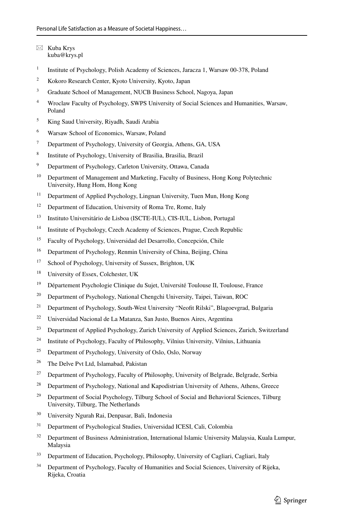- $\boxtimes$  Kuba Krys kuba@krys.pl
- <sup>1</sup> Institute of Psychology, Polish Academy of Sciences, Jaracza 1, Warsaw 00-378, Poland
- <sup>2</sup> Kokoro Research Center, Kyoto University, Kyoto, Japan
- <sup>3</sup> Graduate School of Management, NUCB Business School, Nagoya, Japan
- <sup>4</sup> Wroclaw Faculty of Psychology, SWPS University of Social Sciences and Humanities, Warsaw, Poland
- <sup>5</sup> King Saud University, Riyadh, Saudi Arabia
- <sup>6</sup> Warsaw School of Economics, Warsaw, Poland
- <sup>7</sup> Department of Psychology, University of Georgia, Athens, GA, USA
- <sup>8</sup> Institute of Psychology, University of Brasilia, Brasilia, Brazil
- <sup>9</sup> Department of Psychology, Carleton University, Ottawa, Canada
- <sup>10</sup> Department of Management and Marketing, Faculty of Business, Hong Kong Polytechnic University, Hung Hom, Hong Kong
- <sup>11</sup> Department of Applied Psychology, Lingnan University, Tuen Mun, Hong Kong
- <sup>12</sup> Department of Education, University of Roma Tre, Rome, Italy
- <sup>13</sup> Instituto Universitário de Lisboa (ISCTE-IUL), CIS-IUL, Lisbon, Portugal
- <sup>14</sup> Institute of Psychology, Czech Academy of Sciences, Prague, Czech Republic
- <sup>15</sup> Faculty of Psychology, Universidad del Desarrollo, Concepción, Chile
- <sup>16</sup> Department of Psychology, Renmin University of China, Beijing, China
- <sup>17</sup> School of Psychology, University of Sussex, Brighton, UK
- <sup>18</sup> University of Essex, Colchester, UK
- <sup>19</sup> Département Psychologie Clinique du Sujet, Université Toulouse II, Toulouse, France
- <sup>20</sup> Department of Psychology, National Chengchi University, Taipei, Taiwan, ROC
- <sup>21</sup> Department of Psychology, South-West University "Neofit Rilski", Blagoevgrad, Bulgaria
- <sup>22</sup> Universidad Nacional de La Matanza, San Justo, Buenos Aires, Argentina
- <sup>23</sup> Department of Applied Psychology, Zurich University of Applied Sciences, Zurich, Switzerland
- <sup>24</sup> Institute of Psychology, Faculty of Philosophy, Vilnius University, Vilnius, Lithuania
- <sup>25</sup> Department of Psychology, University of Oslo, Oslo, Norway
- <sup>26</sup> The Delve Pvt Ltd, Islamabad, Pakistan
- <sup>27</sup> Department of Psychology, Faculty of Philosophy, University of Belgrade, Belgrade, Serbia
- <sup>28</sup> Department of Psychology, National and Kapodistrian University of Athens, Athens. Greece
- <sup>29</sup> Department of Social Psychology, Tilburg School of Social and Behavioral Sciences, Tilburg University, Tilburg, The Netherlands
- <sup>30</sup> University Ngurah Rai, Denpasar, Bali, Indonesia
- <sup>31</sup> Department of Psychological Studies, Universidad ICESI, Cali, Colombia
- <sup>32</sup> Department of Business Administration, International Islamic University Malaysia, Kuala Lumpur, Malaysia
- <sup>33</sup> Department of Education, Psychology, Philosophy, University of Cagliari, Cagliari, Italy
- <sup>34</sup> Department of Psychology, Faculty of Humanities and Social Sciences, University of Rijeka, Rijeka, Croatia